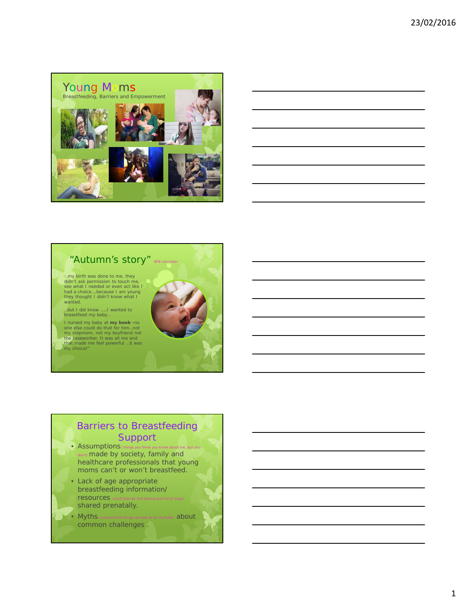



## Barriers to Breastfeeding Support

- $\bullet$  Assumptions  $\bullet$ don't) made by society, family and healthcare professionals that young moms can't or won't breastfeed.
- Lack of age appropriate breastfeeding information/ resources (stuff that shared prenatally.
- Myths (rumours and things we look at on YouTube) about common challenges .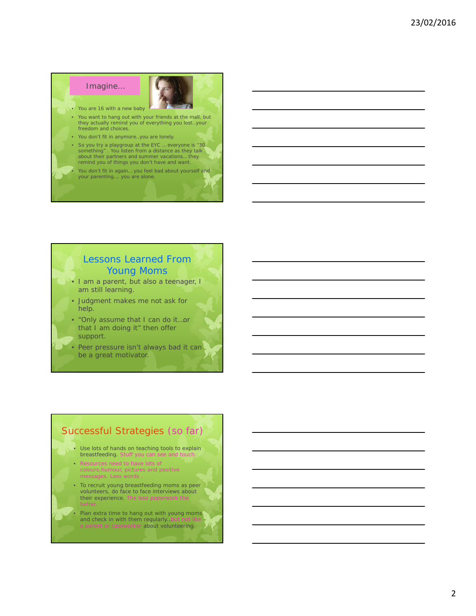# Imagine… • You are 16 with a new baby

- You want to hang out with your friends at the mall, but they actually remind you of everything you lost..your freedom and choices.
- You don't fit in anymore..you are lonely.
- So you try a playgroup at the EYC … everyone is "30 something" . You listen from a distance as they talk about their partners and summer vacations… they remind you of things you don't have and want.
- You don't fit in again… you feel bad about yourself and your parenting…. you are alone.

### Lessons Learned From Young Moms

- I am a parent, but also a teenager, I am still learning.
- Judgment makes me not ask for help.
- "Only assume that I can do it…or that I am doing it" then offer support.
- Peer pressure isn't always bad it can be a great motivator.

## Successful Strategies (so far)

- Use lots of hands on teaching tools to explain breastfeeding. Stuff you can see and touch
- Resources need to have lots of colours,humour, pictures and positive messages. Less words
- To recruit young breastfeeding moms as peer volunteers, do face to face interviews about their experience. The less paperwork th
- Plan extra time to hang out with young moms and check in with them regularly... a parent or caseworker about volunteering.